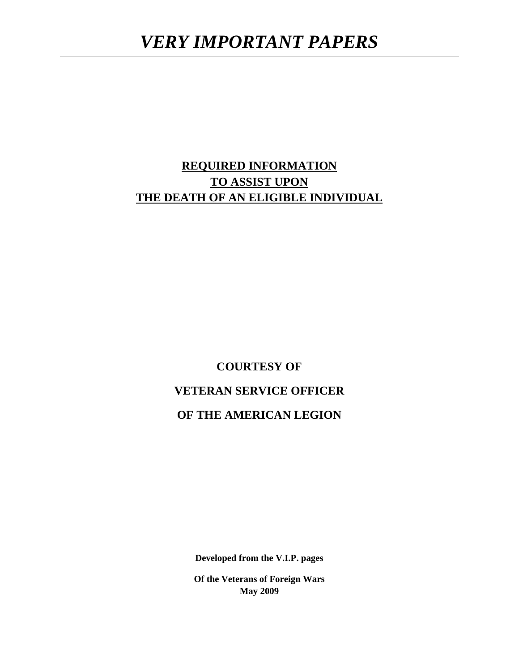# **REQUIRED INFORMATION TO ASSIST UPON THE DEATH OF AN ELIGIBLE INDIVIDUAL**

**COURTESY OF VETERAN SERVICE OFFICER OF THE AMERICAN LEGION** 

**Developed from the V.I.P. pages** 

**Of the Veterans of Foreign Wars May 2009**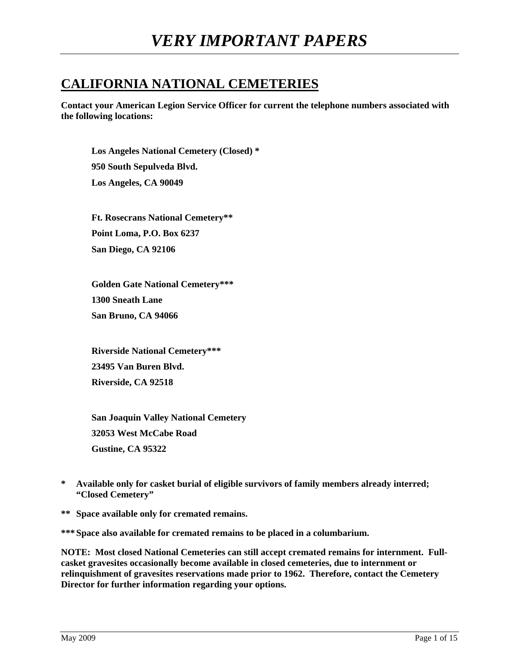# **CALIFORNIA NATIONAL CEMETERIES**

**Contact your American Legion Service Officer for current the telephone numbers associated with the following locations:** 

**Los Angeles National Cemetery (Closed) \* 950 South Sepulveda Blvd. Los Angeles, CA 90049** 

**Ft. Rosecrans National Cemetery\*\* Point Loma, P.O. Box 6237 San Diego, CA 92106** 

**Golden Gate National Cemetery\*\*\* 1300 Sneath Lane San Bruno, CA 94066** 

**Riverside National Cemetery\*\*\* 23495 Van Buren Blvd. Riverside, CA 92518** 

**San Joaquin Valley National Cemetery 32053 West McCabe Road Gustine, CA 95322** 

- **\* Available only for casket burial of eligible survivors of family members already interred; "Closed Cemetery"**
- **\*\* Space available only for cremated remains.**

**\*\*\* Space also available for cremated remains to be placed in a columbarium.** 

**NOTE: Most closed National Cemeteries can still accept cremated remains for internment. Fullcasket gravesites occasionally become available in closed cemeteries, due to internment or relinquishment of gravesites reservations made prior to 1962. Therefore, contact the Cemetery Director for further information regarding your options.**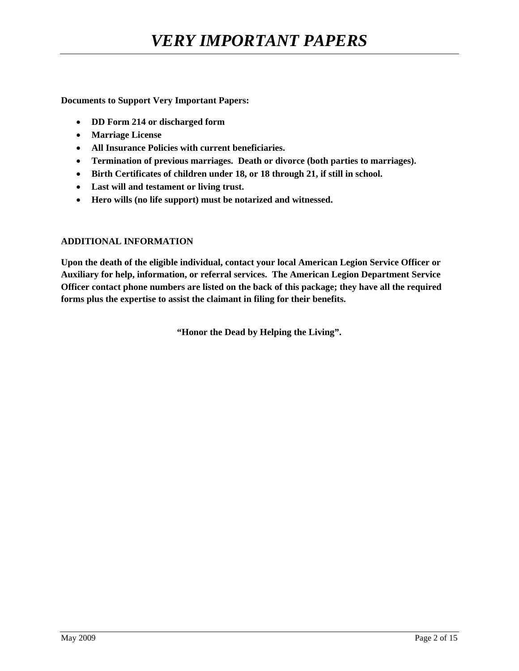**Documents to Support Very Important Papers:** 

- **DD Form 214 or discharged form**
- **Marriage License**
- **All Insurance Policies with current beneficiaries.**
- **Termination of previous marriages. Death or divorce (both parties to marriages).**
- **Birth Certificates of children under 18, or 18 through 21, if still in school.**
- **Last will and testament or living trust.**
- **Hero wills (no life support) must be notarized and witnessed.**

#### **ADDITIONAL INFORMATION**

**Upon the death of the eligible individual, contact your local American Legion Service Officer or Auxiliary for help, information, or referral services. The American Legion Department Service Officer contact phone numbers are listed on the back of this package; they have all the required forms plus the expertise to assist the claimant in filing for their benefits.** 

**"Honor the Dead by Helping the Living".**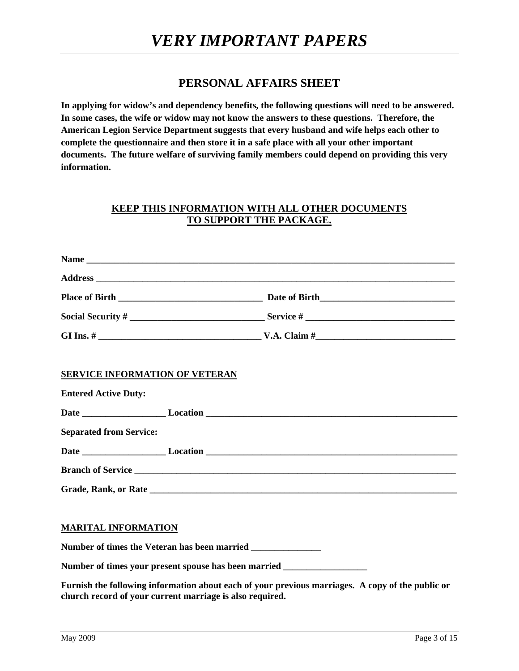# **PERSONAL AFFAIRS SHEET**

**In applying for widow's and dependency benefits, the following questions will need to be answered. In some cases, the wife or widow may not know the answers to these questions. Therefore, the American Legion Service Department suggests that every husband and wife helps each other to complete the questionnaire and then store it in a safe place with all your other important documents. The future welfare of surviving family members could depend on providing this very information.** 

#### **KEEP THIS INFORMATION WITH ALL OTHER DOCUMENTS TO SUPPORT THE PACKAGE.**

|                                       | Social Security $\#\_$ |  |
|---------------------------------------|------------------------|--|
|                                       |                        |  |
| <b>SERVICE INFORMATION OF VETERAN</b> |                        |  |
| <b>Entered Active Duty:</b>           |                        |  |
|                                       |                        |  |
| <b>Separated from Service:</b>        |                        |  |
|                                       |                        |  |
|                                       |                        |  |
|                                       |                        |  |
| <b>MARITAL INFORMATION</b>            |                        |  |
|                                       |                        |  |

**Furnish the following information about each of your previous marriages. A copy of the public or church record of your current marriage is also required.** 

**Number of times your present spouse has been married \_\_\_\_\_\_\_\_\_\_\_\_\_\_\_\_\_\_**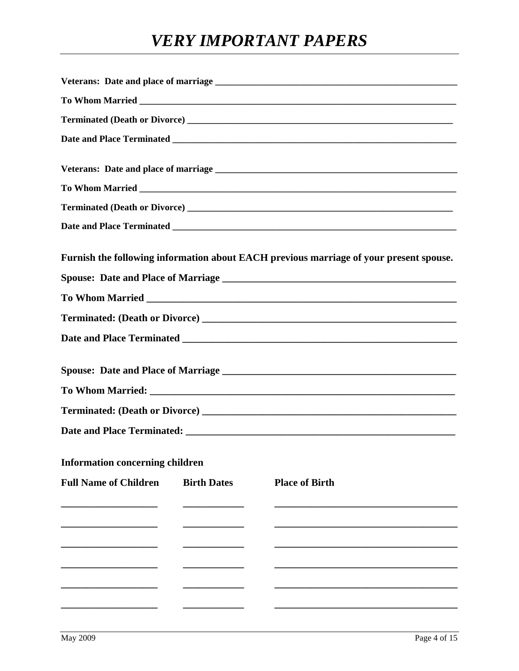# **VERY IMPORTANT PAPERS**

|                                        |                    | Furnish the following information about EACH previous marriage of your present spouse. |
|----------------------------------------|--------------------|----------------------------------------------------------------------------------------|
|                                        |                    |                                                                                        |
|                                        |                    |                                                                                        |
|                                        |                    |                                                                                        |
|                                        |                    |                                                                                        |
|                                        |                    |                                                                                        |
|                                        |                    |                                                                                        |
|                                        |                    |                                                                                        |
|                                        |                    |                                                                                        |
|                                        |                    |                                                                                        |
|                                        |                    |                                                                                        |
| <b>Information concerning children</b> |                    |                                                                                        |
| <b>Full Name of Children</b>           | <b>Birth Dates</b> | <b>Place of Birth</b>                                                                  |
|                                        |                    |                                                                                        |
|                                        |                    |                                                                                        |
|                                        |                    |                                                                                        |
|                                        |                    |                                                                                        |
|                                        |                    |                                                                                        |
|                                        |                    |                                                                                        |
|                                        |                    |                                                                                        |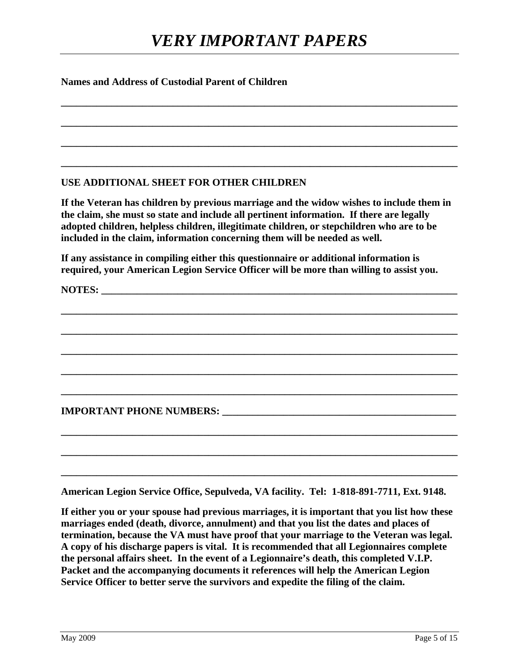**\_\_\_\_\_\_\_\_\_\_\_\_\_\_\_\_\_\_\_\_\_\_\_\_\_\_\_\_\_\_\_\_\_\_\_\_\_\_\_\_\_\_\_\_\_\_\_\_\_\_\_\_\_\_\_\_\_\_\_\_\_\_\_\_\_\_\_\_\_\_\_\_\_\_\_\_\_\_** 

**\_\_\_\_\_\_\_\_\_\_\_\_\_\_\_\_\_\_\_\_\_\_\_\_\_\_\_\_\_\_\_\_\_\_\_\_\_\_\_\_\_\_\_\_\_\_\_\_\_\_\_\_\_\_\_\_\_\_\_\_\_\_\_\_\_\_\_\_\_\_\_\_\_\_\_\_\_\_** 

**\_\_\_\_\_\_\_\_\_\_\_\_\_\_\_\_\_\_\_\_\_\_\_\_\_\_\_\_\_\_\_\_\_\_\_\_\_\_\_\_\_\_\_\_\_\_\_\_\_\_\_\_\_\_\_\_\_\_\_\_\_\_\_\_\_\_\_\_\_\_\_\_\_\_\_\_\_\_** 

**\_\_\_\_\_\_\_\_\_\_\_\_\_\_\_\_\_\_\_\_\_\_\_\_\_\_\_\_\_\_\_\_\_\_\_\_\_\_\_\_\_\_\_\_\_\_\_\_\_\_\_\_\_\_\_\_\_\_\_\_\_\_\_\_\_\_\_\_\_\_\_\_\_\_\_\_\_\_** 

#### **Names and Address of Custodial Parent of Children**

#### **USE ADDITIONAL SHEET FOR OTHER CHILDREN**

**If the Veteran has children by previous marriage and the widow wishes to include them in the claim, she must so state and include all pertinent information. If there are legally adopted children, helpless children, illegitimate children, or stepchildren who are to be included in the claim, information concerning them will be needed as well.** 

**If any assistance in compiling either this questionnaire or additional information is required, your American Legion Service Officer will be more than willing to assist you.** 

**\_\_\_\_\_\_\_\_\_\_\_\_\_\_\_\_\_\_\_\_\_\_\_\_\_\_\_\_\_\_\_\_\_\_\_\_\_\_\_\_\_\_\_\_\_\_\_\_\_\_\_\_\_\_\_\_\_\_\_\_\_\_\_\_\_\_\_\_\_\_\_\_\_\_\_\_\_\_** 

**\_\_\_\_\_\_\_\_\_\_\_\_\_\_\_\_\_\_\_\_\_\_\_\_\_\_\_\_\_\_\_\_\_\_\_\_\_\_\_\_\_\_\_\_\_\_\_\_\_\_\_\_\_\_\_\_\_\_\_\_\_\_\_\_\_\_\_\_\_\_\_\_\_\_\_\_\_\_** 

**\_\_\_\_\_\_\_\_\_\_\_\_\_\_\_\_\_\_\_\_\_\_\_\_\_\_\_\_\_\_\_\_\_\_\_\_\_\_\_\_\_\_\_\_\_\_\_\_\_\_\_\_\_\_\_\_\_\_\_\_\_\_\_\_\_\_\_\_\_\_\_\_\_\_\_\_\_\_** 

**\_\_\_\_\_\_\_\_\_\_\_\_\_\_\_\_\_\_\_\_\_\_\_\_\_\_\_\_\_\_\_\_\_\_\_\_\_\_\_\_\_\_\_\_\_\_\_\_\_\_\_\_\_\_\_\_\_\_\_\_\_\_\_\_\_\_\_\_\_\_\_\_\_\_\_\_\_\_** 

**\_\_\_\_\_\_\_\_\_\_\_\_\_\_\_\_\_\_\_\_\_\_\_\_\_\_\_\_\_\_\_\_\_\_\_\_\_\_\_\_\_\_\_\_\_\_\_\_\_\_\_\_\_\_\_\_\_\_\_\_\_\_\_\_\_\_\_\_\_\_\_\_\_\_\_\_\_\_** 

**\_\_\_\_\_\_\_\_\_\_\_\_\_\_\_\_\_\_\_\_\_\_\_\_\_\_\_\_\_\_\_\_\_\_\_\_\_\_\_\_\_\_\_\_\_\_\_\_\_\_\_\_\_\_\_\_\_\_\_\_\_\_\_\_\_\_\_\_\_\_\_\_\_\_\_\_\_\_** 

**\_\_\_\_\_\_\_\_\_\_\_\_\_\_\_\_\_\_\_\_\_\_\_\_\_\_\_\_\_\_\_\_\_\_\_\_\_\_\_\_\_\_\_\_\_\_\_\_\_\_\_\_\_\_\_\_\_\_\_\_\_\_\_\_\_\_\_\_\_\_\_\_\_\_\_\_\_\_** 

**\_\_\_\_\_\_\_\_\_\_\_\_\_\_\_\_\_\_\_\_\_\_\_\_\_\_\_\_\_\_\_\_\_\_\_\_\_\_\_\_\_\_\_\_\_\_\_\_\_\_\_\_\_\_\_\_\_\_\_\_\_\_\_\_\_\_\_\_\_\_\_\_\_\_\_\_\_\_** 

NOTES:

**IMPORTANT PHONE NUMBERS: \_\_\_\_\_\_\_\_\_\_\_\_\_\_\_\_\_\_\_\_\_\_\_\_\_\_\_\_\_\_\_\_\_\_\_\_\_\_\_\_\_\_\_\_\_\_** 

**American Legion Service Office, Sepulveda, VA facility. Tel: 1-818-891-7711, Ext. 9148.** 

**If either you or your spouse had previous marriages, it is important that you list how these marriages ended (death, divorce, annulment) and that you list the dates and places of termination, because the VA must have proof that your marriage to the Veteran was legal. A copy of his discharge papers is vital. It is recommended that all Legionnaires complete the personal affairs sheet. In the event of a Legionnaire's death, this completed V.I.P. Packet and the accompanying documents it references will help the American Legion Service Officer to better serve the survivors and expedite the filing of the claim.**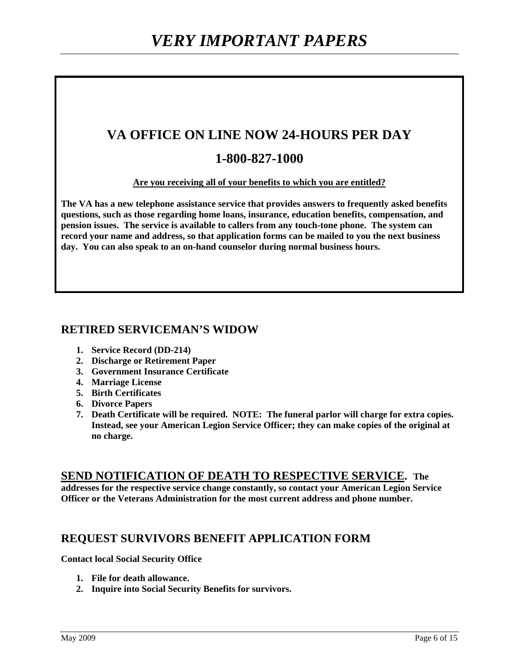# **VA OFFICE ON LINE NOW 24-HOURS PER DAY**

# **1-800-827-1000**

#### **Are you receiving all of your benefits to which you are entitled?**

**The VA has a new telephone assistance service that provides answers to frequently asked benefits questions, such as those regarding home loans, insurance, education benefits, compensation, and pension issues. The service is available to callers from any touch-tone phone. The system can record your name and address, so that application forms can be mailed to you the next business day. You can also speak to an on-hand counselor during normal business hours.** 

# **RETIRED SERVICEMAN'S WIDOW**

- **1. Service Record (DD-214)**
- **2. Discharge or Retirement Paper**
- **3. Government Insurance Certificate**
- **4. Marriage License**
- **5. Birth Certificates**
- **6. Divorce Papers**
- **7. Death Certificate will be required. NOTE: The funeral parlor will charge for extra copies. Instead, see your American Legion Service Officer; they can make copies of the original at no charge.**

#### **SEND NOTIFICATION OF DEATH TO RESPECTIVE SERVICE. The**

**addresses for the respective service change constantly, so contact your American Legion Service Officer or the Veterans Administration for the most current address and phone number.** 

### **REQUEST SURVIVORS BENEFIT APPLICATION FORM**

**Contact local Social Security Office** 

- **1. File for death allowance.**
- **2. Inquire into Social Security Benefits for survivors.**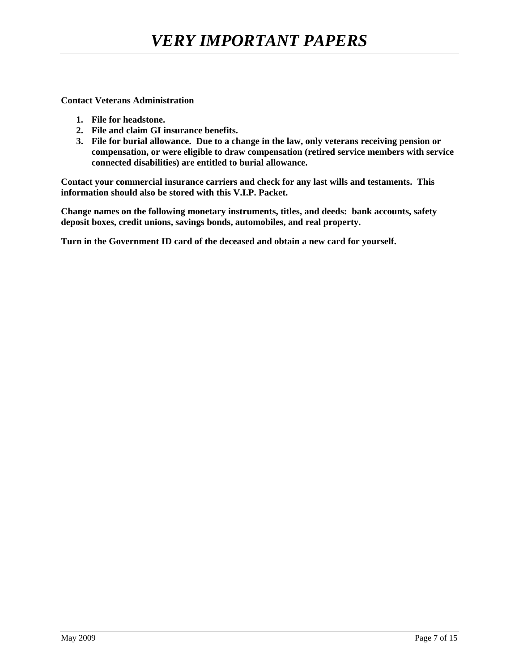**Contact Veterans Administration** 

- **1. File for headstone.**
- **2. File and claim GI insurance benefits.**
- **3. File for burial allowance. Due to a change in the law, only veterans receiving pension or compensation, or were eligible to draw compensation (retired service members with service connected disabilities) are entitled to burial allowance.**

**Contact your commercial insurance carriers and check for any last wills and testaments. This information should also be stored with this V.I.P. Packet.** 

**Change names on the following monetary instruments, titles, and deeds: bank accounts, safety deposit boxes, credit unions, savings bonds, automobiles, and real property.** 

**Turn in the Government ID card of the deceased and obtain a new card for yourself.**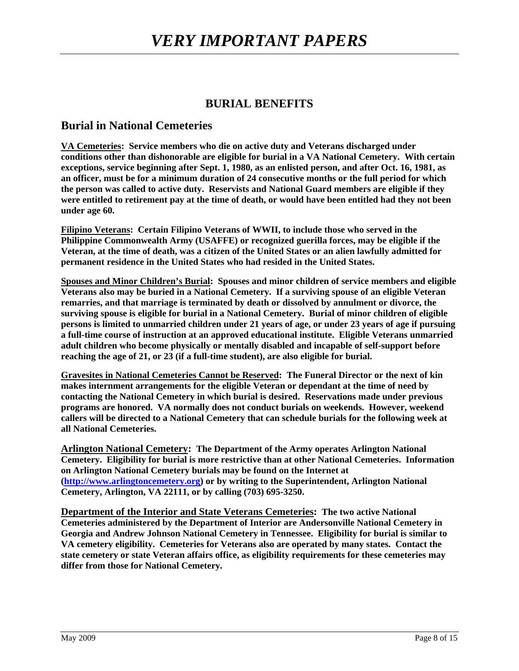# **BURIAL BENEFITS**

#### **Burial in National Cemeteries**

**VA Cemeteries: Service members who die on active duty and Veterans discharged under conditions other than dishonorable are eligible for burial in a VA National Cemetery. With certain exceptions, service beginning after Sept. 1, 1980, as an enlisted person, and after Oct. 16, 1981, as an officer, must be for a minimum duration of 24 consecutive months or the full period for which the person was called to active duty. Reservists and National Guard members are eligible if they were entitled to retirement pay at the time of death, or would have been entitled had they not been under age 60.** 

**Filipino Veterans: Certain Filipino Veterans of WWII, to include those who served in the Philippine Commonwealth Army (USAFFE) or recognized guerilla forces, may be eligible if the Veteran, at the time of death, was a citizen of the United States or an alien lawfully admitted for permanent residence in the United States who had resided in the United States.** 

**Spouses and Minor Children's Burial: Spouses and minor children of service members and eligible Veterans also may be buried in a National Cemetery. If a surviving spouse of an eligible Veteran remarries, and that marriage is terminated by death or dissolved by annulment or divorce, the surviving spouse is eligible for burial in a National Cemetery. Burial of minor children of eligible persons is limited to unmarried children under 21 years of age, or under 23 years of age if pursuing a full-time course of instruction at an approved educational institute. Eligible Veterans unmarried adult children who become physically or mentally disabled and incapable of self-support before reaching the age of 21, or 23 (if a full-time student), are also eligible for burial.** 

**Gravesites in National Cemeteries Cannot be Reserved: The Funeral Director or the next of kin makes internment arrangements for the eligible Veteran or dependant at the time of need by contacting the National Cemetery in which burial is desired. Reservations made under previous programs are honored. VA normally does not conduct burials on weekends. However, weekend callers will be directed to a National Cemetery that can schedule burials for the following week at all National Cemeteries.** 

**Arlington National Cemetery: The Department of the Army operates Arlington National Cemetery. Eligibility for burial is more restrictive than at other National Cemeteries. Information on Arlington National Cemetery burials may be found on the Internet at (http://www.arlingtoncemetery.org) or by writing to the Superintendent, Arlington National Cemetery, Arlington, VA 22111, or by calling (703) 695-3250.** 

**Department of the Interior and State Veterans Cemeteries: The two active National Cemeteries administered by the Department of Interior are Andersonville National Cemetery in Georgia and Andrew Johnson National Cemetery in Tennessee. Eligibility for burial is similar to VA cemetery eligibility. Cemeteries for Veterans also are operated by many states. Contact the state cemetery or state Veteran affairs office, as eligibility requirements for these cemeteries may differ from those for National Cemetery.**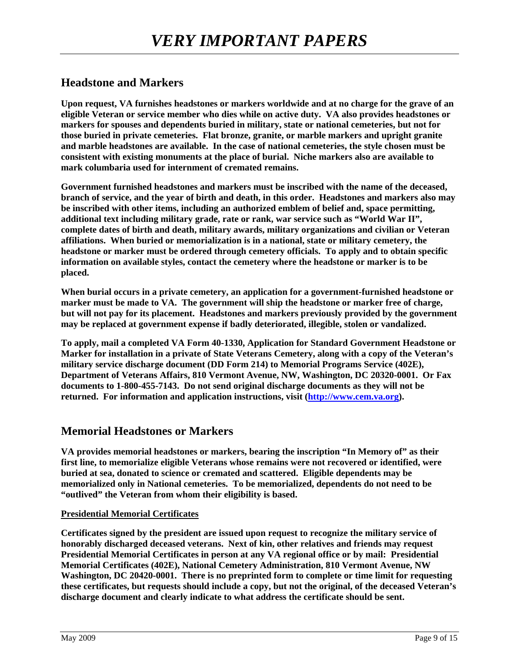# **Headstone and Markers**

**Upon request, VA furnishes headstones or markers worldwide and at no charge for the grave of an eligible Veteran or service member who dies while on active duty. VA also provides headstones or markers for spouses and dependents buried in military, state or national cemeteries, but not for those buried in private cemeteries. Flat bronze, granite, or marble markers and upright granite and marble headstones are available. In the case of national cemeteries, the style chosen must be consistent with existing monuments at the place of burial. Niche markers also are available to mark columbaria used for internment of cremated remains.** 

**Government furnished headstones and markers must be inscribed with the name of the deceased, branch of service, and the year of birth and death, in this order. Headstones and markers also may be inscribed with other items, including an authorized emblem of belief and, space permitting, additional text including military grade, rate or rank, war service such as "World War II", complete dates of birth and death, military awards, military organizations and civilian or Veteran affiliations. When buried or memorialization is in a national, state or military cemetery, the headstone or marker must be ordered through cemetery officials. To apply and to obtain specific information on available styles, contact the cemetery where the headstone or marker is to be placed.** 

**When burial occurs in a private cemetery, an application for a government-furnished headstone or marker must be made to VA. The government will ship the headstone or marker free of charge, but will not pay for its placement. Headstones and markers previously provided by the government may be replaced at government expense if badly deteriorated, illegible, stolen or vandalized.** 

**To apply, mail a completed VA Form 40-1330, Application for Standard Government Headstone or Marker for installation in a private of State Veterans Cemetery, along with a copy of the Veteran's military service discharge document (DD Form 214) to Memorial Programs Service (402E), Department of Veterans Affairs, 810 Vermont Avenue, NW, Washington, DC 20320-0001. Or Fax documents to 1-800-455-7143. Do not send original discharge documents as they will not be returned. For information and application instructions, visit (http://www.cem.va.org).** 

### **Memorial Headstones or Markers**

**VA provides memorial headstones or markers, bearing the inscription "In Memory of" as their first line, to memorialize eligible Veterans whose remains were not recovered or identified, were buried at sea, donated to science or cremated and scattered. Eligible dependents may be memorialized only in National cemeteries. To be memorialized, dependents do not need to be "outlived" the Veteran from whom their eligibility is based.** 

#### **Presidential Memorial Certificates**

**Certificates signed by the president are issued upon request to recognize the military service of honorably discharged deceased veterans. Next of kin, other relatives and friends may request Presidential Memorial Certificates in person at any VA regional office or by mail: Presidential Memorial Certificates (402E), National Cemetery Administration, 810 Vermont Avenue, NW Washington, DC 20420-0001. There is no preprinted form to complete or time limit for requesting these certificates, but requests should include a copy, but not the original, of the deceased Veteran's discharge document and clearly indicate to what address the certificate should be sent.**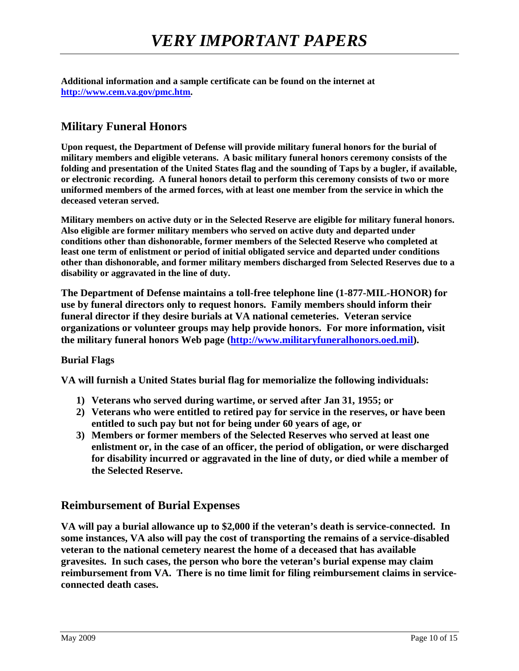**Additional information and a sample certificate can be found on the internet at http://www.cem.va.gov/pmc.htm.** 

# **Military Funeral Honors**

**Upon request, the Department of Defense will provide military funeral honors for the burial of military members and eligible veterans. A basic military funeral honors ceremony consists of the folding and presentation of the United States flag and the sounding of Taps by a bugler, if available, or electronic recording. A funeral honors detail to perform this ceremony consists of two or more uniformed members of the armed forces, with at least one member from the service in which the deceased veteran served.** 

**Military members on active duty or in the Selected Reserve are eligible for military funeral honors. Also eligible are former military members who served on active duty and departed under conditions other than dishonorable, former members of the Selected Reserve who completed at least one term of enlistment or period of initial obligated service and departed under conditions other than dishonorable, and former military members discharged from Selected Reserves due to a disability or aggravated in the line of duty.** 

**The Department of Defense maintains a toll-free telephone line (1-877-MIL-HONOR) for use by funeral directors only to request honors. Family members should inform their funeral director if they desire burials at VA national cemeteries. Veteran service organizations or volunteer groups may help provide honors. For more information, visit the military funeral honors Web page (http://www.militaryfuneralhonors.oed.mil).** 

#### **Burial Flags**

**VA will furnish a United States burial flag for memorialize the following individuals:** 

- **1) Veterans who served during wartime, or served after Jan 31, 1955; or**
- **2) Veterans who were entitled to retired pay for service in the reserves, or have been entitled to such pay but not for being under 60 years of age, or**
- **3) Members or former members of the Selected Reserves who served at least one enlistment or, in the case of an officer, the period of obligation, or were discharged for disability incurred or aggravated in the line of duty, or died while a member of the Selected Reserve.**

### **Reimbursement of Burial Expenses**

**VA will pay a burial allowance up to \$2,000 if the veteran's death is service-connected. In some instances, VA also will pay the cost of transporting the remains of a service-disabled veteran to the national cemetery nearest the home of a deceased that has available gravesites. In such cases, the person who bore the veteran's burial expense may claim reimbursement from VA. There is no time limit for filing reimbursement claims in serviceconnected death cases.**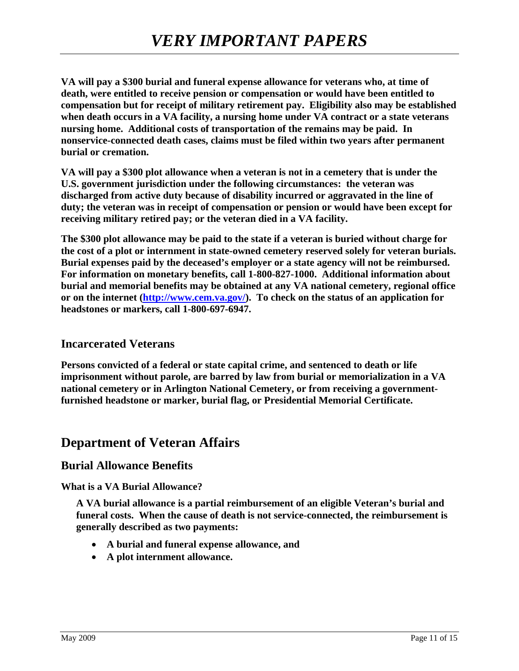**VA will pay a \$300 burial and funeral expense allowance for veterans who, at time of death, were entitled to receive pension or compensation or would have been entitled to compensation but for receipt of military retirement pay. Eligibility also may be established when death occurs in a VA facility, a nursing home under VA contract or a state veterans nursing home. Additional costs of transportation of the remains may be paid. In nonservice-connected death cases, claims must be filed within two years after permanent burial or cremation.** 

**VA will pay a \$300 plot allowance when a veteran is not in a cemetery that is under the U.S. government jurisdiction under the following circumstances: the veteran was discharged from active duty because of disability incurred or aggravated in the line of duty; the veteran was in receipt of compensation or pension or would have been except for receiving military retired pay; or the veteran died in a VA facility.** 

**The \$300 plot allowance may be paid to the state if a veteran is buried without charge for the cost of a plot or internment in state-owned cemetery reserved solely for veteran burials. Burial expenses paid by the deceased's employer or a state agency will not be reimbursed. For information on monetary benefits, call 1-800-827-1000. Additional information about burial and memorial benefits may be obtained at any VA national cemetery, regional office**  or on the internet (http://www.cem.va.gov/). To check on the status of an application for **headstones or markers, call 1-800-697-6947.** 

### **Incarcerated Veterans**

**Persons convicted of a federal or state capital crime, and sentenced to death or life imprisonment without parole, are barred by law from burial or memorialization in a VA national cemetery or in Arlington National Cemetery, or from receiving a governmentfurnished headstone or marker, burial flag, or Presidential Memorial Certificate.** 

# **Department of Veteran Affairs**

### **Burial Allowance Benefits**

#### **What is a VA Burial Allowance?**

**A VA burial allowance is a partial reimbursement of an eligible Veteran's burial and funeral costs. When the cause of death is not service-connected, the reimbursement is generally described as two payments:** 

- **A burial and funeral expense allowance, and**
- **A plot internment allowance.**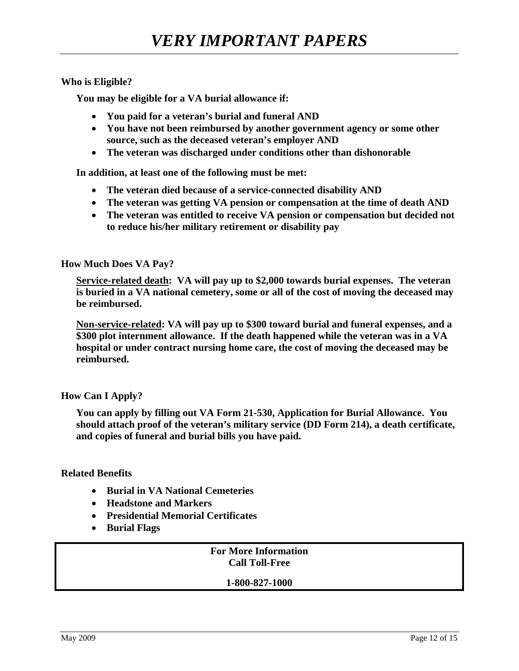#### **Who is Eligible?**

**You may be eligible for a VA burial allowance if:** 

- **You paid for a veteran's burial and funeral AND**
- **You have not been reimbursed by another government agency or some other source, such as the deceased veteran's employer AND**
- **The veteran was discharged under conditions other than dishonorable**

**In addition, at least one of the following must be met:** 

- **The veteran died because of a service-connected disability AND**
- **The veteran was getting VA pension or compensation at the time of death AND**
- **The veteran was entitled to receive VA pension or compensation but decided not to reduce his/her military retirement or disability pay**

**How Much Does VA Pay?** 

**Service-related death: VA will pay up to \$2,000 towards burial expenses. The veteran is buried in a VA national cemetery, some or all of the cost of moving the deceased may be reimbursed.** 

**Non-service-related: VA will pay up to \$300 toward burial and funeral expenses, and a \$300 plot internment allowance. If the death happened while the veteran was in a VA hospital or under contract nursing home care, the cost of moving the deceased may be reimbursed.** 

**How Can I Apply?** 

**You can apply by filling out VA Form 21-530, Application for Burial Allowance. You should attach proof of the veteran's military service (DD Form 214), a death certificate, and copies of funeral and burial bills you have paid.** 

#### **Related Benefits**

- **Burial in VA National Cemeteries**
- **Headstone and Markers**
- **Presidential Memorial Certificates**
- **Burial Flags**

**For More Information Call Toll-Free** 

**1-800-827-1000**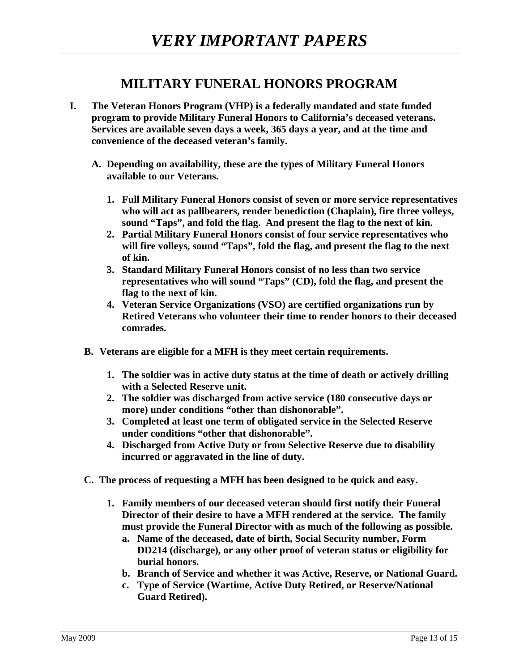# **MILITARY FUNERAL HONORS PROGRAM**

- **I. The Veteran Honors Program (VHP) is a federally mandated and state funded program to provide Military Funeral Honors to California's deceased veterans. Services are available seven days a week, 365 days a year, and at the time and convenience of the deceased veteran's family.** 
	- **A. Depending on availability, these are the types of Military Funeral Honors available to our Veterans.** 
		- **1. Full Military Funeral Honors consist of seven or more service representatives who will act as pallbearers, render benediction (Chaplain), fire three volleys, sound "Taps", and fold the flag. And present the flag to the next of kin.**
		- **2. Partial Military Funeral Honors consist of four service representatives who will fire volleys, sound "Taps", fold the flag, and present the flag to the next of kin.**
		- **3. Standard Military Funeral Honors consist of no less than two service representatives who will sound "Taps" (CD), fold the flag, and present the flag to the next of kin.**
		- **4. Veteran Service Organizations (VSO) are certified organizations run by Retired Veterans who volunteer their time to render honors to their deceased comrades.**
	- **B. Veterans are eligible for a MFH is they meet certain requirements.** 
		- **1. The soldier was in active duty status at the time of death or actively drilling with a Selected Reserve unit.**
		- **2. The soldier was discharged from active service (180 consecutive days or more) under conditions "other than dishonorable".**
		- **3. Completed at least one term of obligated service in the Selected Reserve under conditions "other that dishonorable".**
		- **4. Discharged from Active Duty or from Selective Reserve due to disability incurred or aggravated in the line of duty.**
	- **C. The process of requesting a MFH has been designed to be quick and easy.** 
		- **1. Family members of our deceased veteran should first notify their Funeral Director of their desire to have a MFH rendered at the service. The family must provide the Funeral Director with as much of the following as possible.** 
			- **a. Name of the deceased, date of birth, Social Security number, Form DD214 (discharge), or any other proof of veteran status or eligibility for burial honors.**
			- **b. Branch of Service and whether it was Active, Reserve, or National Guard.**
			- **c. Type of Service (Wartime, Active Duty Retired, or Reserve/National Guard Retired).**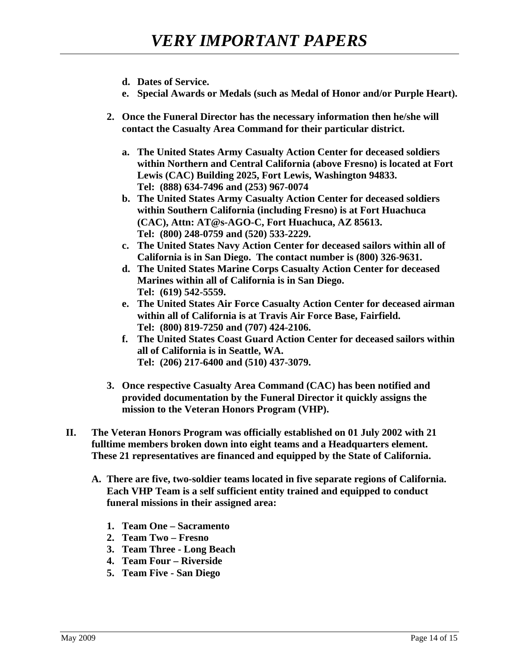- **d. Dates of Service.**
- **e. Special Awards or Medals (such as Medal of Honor and/or Purple Heart).**
- **2. Once the Funeral Director has the necessary information then he/she will contact the Casualty Area Command for their particular district.** 
	- **a. The United States Army Casualty Action Center for deceased soldiers within Northern and Central California (above Fresno) is located at Fort Lewis (CAC) Building 2025, Fort Lewis, Washington 94833. Tel: (888) 634-7496 and (253) 967-0074**
	- **b. The United States Army Casualty Action Center for deceased soldiers within Southern California (including Fresno) is at Fort Huachuca (CAC), Attn: AT@s-AGO-C, Fort Huachuca, AZ 85613. Tel: (800) 248-0759 and (520) 533-2229.**
	- **c. The United States Navy Action Center for deceased sailors within all of California is in San Diego. The contact number is (800) 326-9631.**
	- **d. The United States Marine Corps Casualty Action Center for deceased Marines within all of California is in San Diego. Tel: (619) 542-5559.**
	- **e. The United States Air Force Casualty Action Center for deceased airman within all of California is at Travis Air Force Base, Fairfield. Tel: (800) 819-7250 and (707) 424-2106.**
	- **f. The United States Coast Guard Action Center for deceased sailors within all of California is in Seattle, WA. Tel: (206) 217-6400 and (510) 437-3079.**
- **3. Once respective Casualty Area Command (CAC) has been notified and provided documentation by the Funeral Director it quickly assigns the mission to the Veteran Honors Program (VHP).**
- **II. The Veteran Honors Program was officially established on 01 July 2002 with 21 fulltime members broken down into eight teams and a Headquarters element. These 21 representatives are financed and equipped by the State of California.** 
	- **A. There are five, two-soldier teams located in five separate regions of California. Each VHP Team is a self sufficient entity trained and equipped to conduct funeral missions in their assigned area:** 
		- **1. Team One Sacramento**
		- **2. Team Two Fresno**
		- **3. Team Three Long Beach**
		- **4. Team Four Riverside**
		- **5. Team Five San Diego**